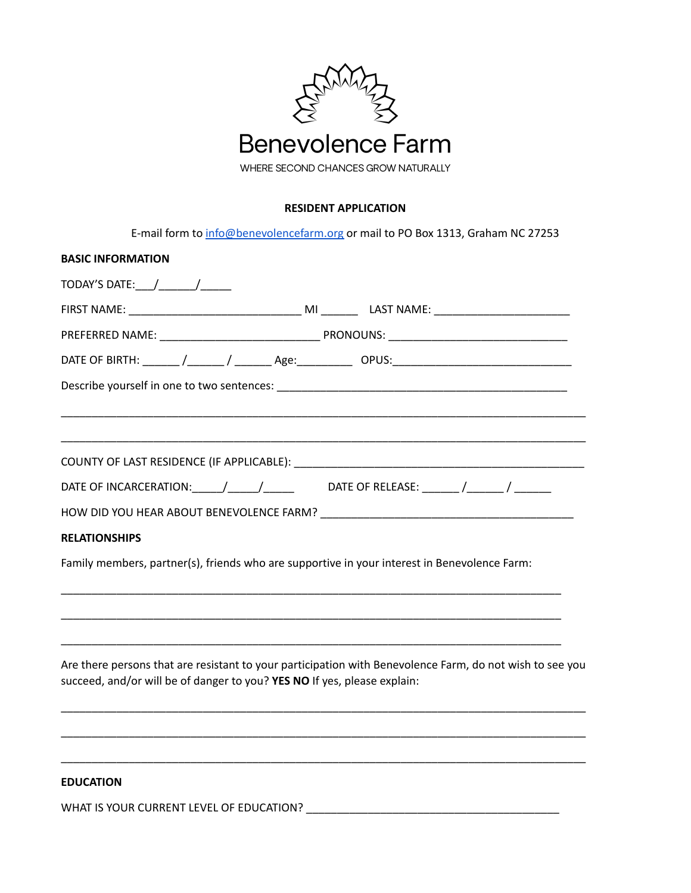

## **RESIDENT APPLICATION**

E-mail form to [info@benevolencefarm.org](mailto:info@benevolencefarm.org) or mail to PO Box 1313, Graham NC 27253

| <b>BASIC INFORMATION</b>                                                                     |                                                                                                          |
|----------------------------------------------------------------------------------------------|----------------------------------------------------------------------------------------------------------|
| TODAY'S DATE: ____/ ________/ ______                                                         |                                                                                                          |
|                                                                                              |                                                                                                          |
|                                                                                              |                                                                                                          |
|                                                                                              |                                                                                                          |
|                                                                                              |                                                                                                          |
|                                                                                              |                                                                                                          |
|                                                                                              |                                                                                                          |
| DATE OF INCARCERATION:______/______/_____________DATE OF RELEASE: _______/_______/ ________  |                                                                                                          |
|                                                                                              |                                                                                                          |
| <b>RELATIONSHIPS</b>                                                                         |                                                                                                          |
| Family members, partner(s), friends who are supportive in your interest in Benevolence Farm: |                                                                                                          |
|                                                                                              |                                                                                                          |
| succeed, and/or will be of danger to you? YES NO If yes, please explain:                     | Are there persons that are resistant to your participation with Benevolence Farm, do not wish to see you |
| <b>EDUCATION</b>                                                                             |                                                                                                          |

WHAT IS YOUR CURRENT LEVEL OF EDUCATION? \_\_\_\_\_\_\_\_\_\_\_\_\_\_\_\_\_\_\_\_\_\_\_\_\_\_\_\_\_\_\_\_\_\_\_\_\_\_\_\_\_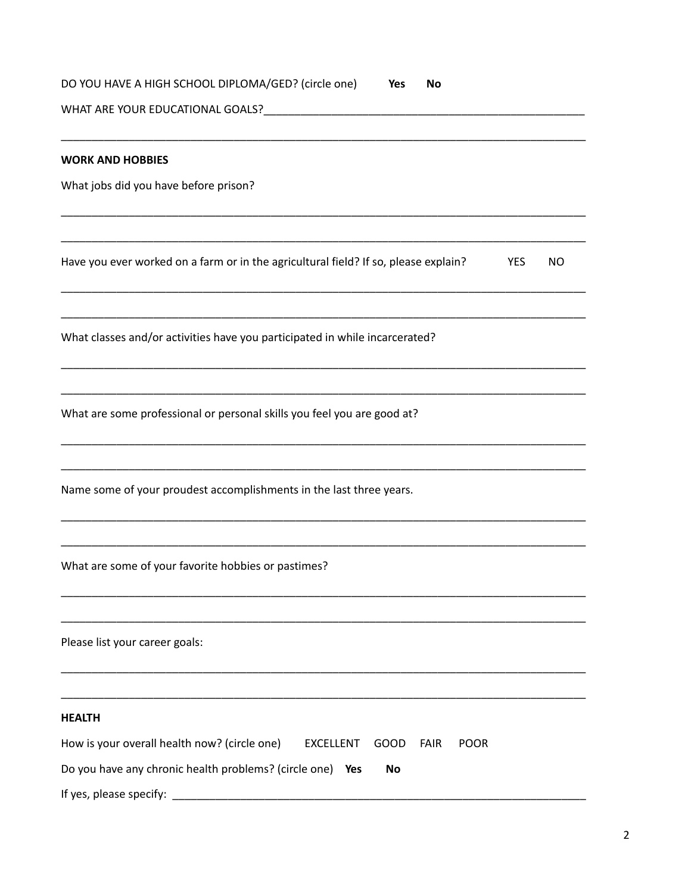| DO YOU HAVE A HIGH SCHOOL DIPLOMA/GED? (circle one)<br>Yes<br>No                                  |
|---------------------------------------------------------------------------------------------------|
|                                                                                                   |
| <b>WORK AND HOBBIES</b>                                                                           |
| What jobs did you have before prison?                                                             |
|                                                                                                   |
|                                                                                                   |
| Have you ever worked on a farm or in the agricultural field? If so, please explain?<br>YES<br>NO. |
|                                                                                                   |
| What classes and/or activities have you participated in while incarcerated?                       |
|                                                                                                   |
| What are some professional or personal skills you feel you are good at?                           |
|                                                                                                   |
| Name some of your proudest accomplishments in the last three years.                               |
|                                                                                                   |
| What are some of your favorite hobbies or pastimes?                                               |
|                                                                                                   |
| Please list your career goals:                                                                    |
|                                                                                                   |
| <b>HEALTH</b>                                                                                     |
| How is your overall health now? (circle one)<br><b>EXCELLENT</b><br>GOOD<br>FAIR<br><b>POOR</b>   |
| Do you have any chronic health problems? (circle one)<br>Yes<br>No                                |
| If yes, please specify:                                                                           |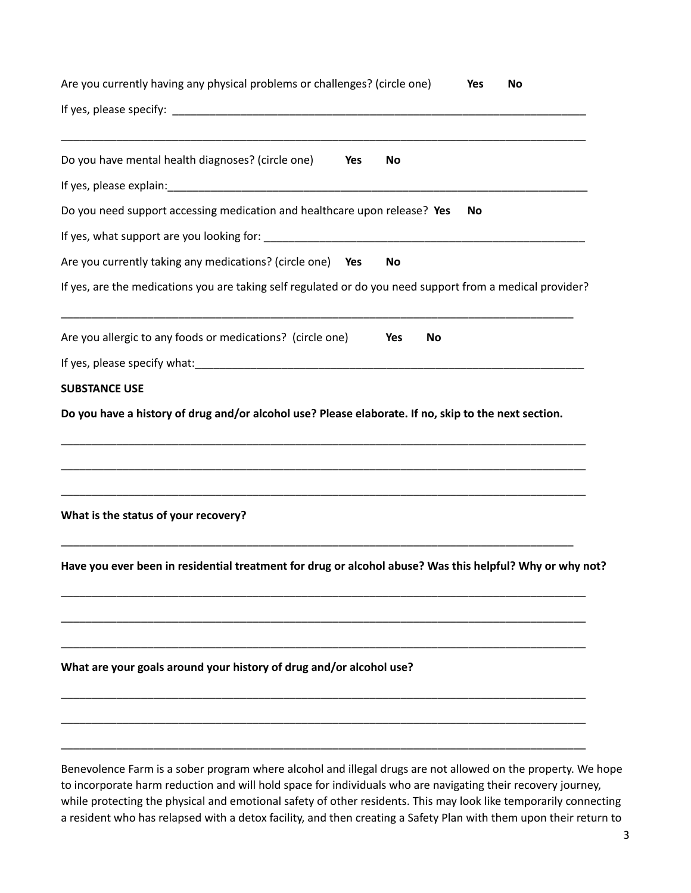| Are you currently having any physical problems or challenges? (circle one)                                                                                                                                                   | No<br><b>Yes</b> |
|------------------------------------------------------------------------------------------------------------------------------------------------------------------------------------------------------------------------------|------------------|
|                                                                                                                                                                                                                              |                  |
| Do you have mental health diagnoses? (circle one)<br>Yes                                                                                                                                                                     | No               |
|                                                                                                                                                                                                                              |                  |
| Do you need support accessing medication and healthcare upon release? Yes                                                                                                                                                    | No               |
|                                                                                                                                                                                                                              |                  |
| Are you currently taking any medications? (circle one) Yes                                                                                                                                                                   | No               |
| If yes, are the medications you are taking self regulated or do you need support from a medical provider?                                                                                                                    |                  |
| Are you allergic to any foods or medications? (circle one)                                                                                                                                                                   | Yes<br>No        |
|                                                                                                                                                                                                                              |                  |
| <b>SUBSTANCE USE</b>                                                                                                                                                                                                         |                  |
|                                                                                                                                                                                                                              |                  |
| What is the status of your recovery?                                                                                                                                                                                         |                  |
| Have you ever been in residential treatment for drug or alcohol abuse? Was this helpful? Why or why not?                                                                                                                     |                  |
|                                                                                                                                                                                                                              |                  |
| What are your goals around your history of drug and/or alcohol use?                                                                                                                                                          |                  |
|                                                                                                                                                                                                                              |                  |
| Benevolence Farm is a sober program where alcohol and illegal drugs are not allowed on the property. We hope<br>to incorporate harm reduction and will hold space for individuals who are navigating their recovery journey, |                  |

while protecting the physical and emotional safety of other residents. This may look like temporarily connecting a resident who has relapsed with a detox facility, and then creating a Safety Plan with them upon their return to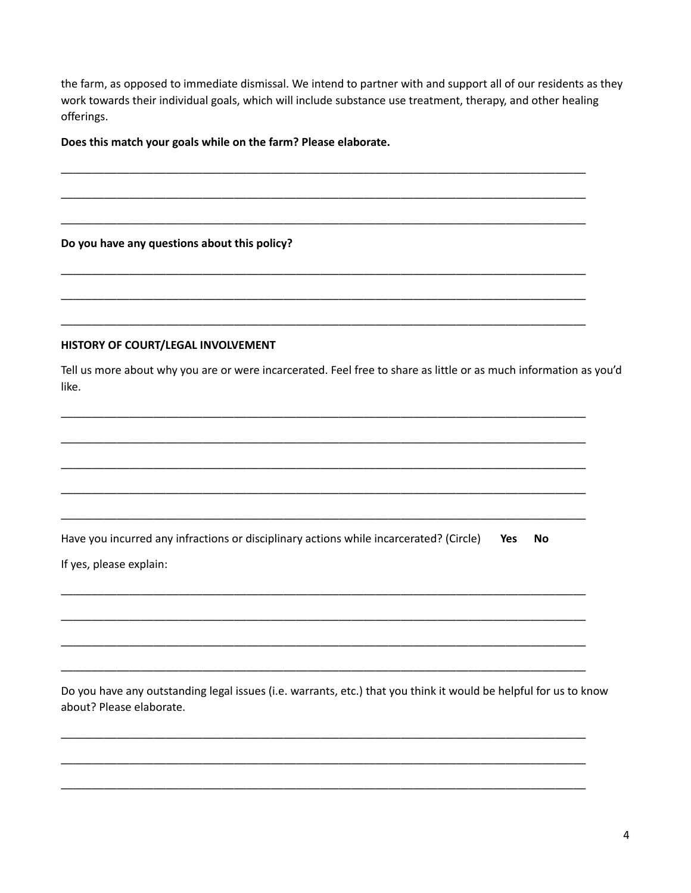the farm, as opposed to immediate dismissal. We intend to partner with and support all of our residents as they work towards their individual goals, which will include substance use treatment, therapy, and other healing offerings.

Does this match your goals while on the farm? Please elaborate.

Do you have any questions about this policy?

## HISTORY OF COURT/LEGAL INVOLVEMENT

Tell us more about why you are or were incarcerated. Feel free to share as little or as much information as you'd like.

Have you incurred any infractions or disciplinary actions while incarcerated? (Circle) Yes **No** If yes, please explain:

Do you have any outstanding legal issues (i.e. warrants, etc.) that you think it would be helpful for us to know about? Please elaborate.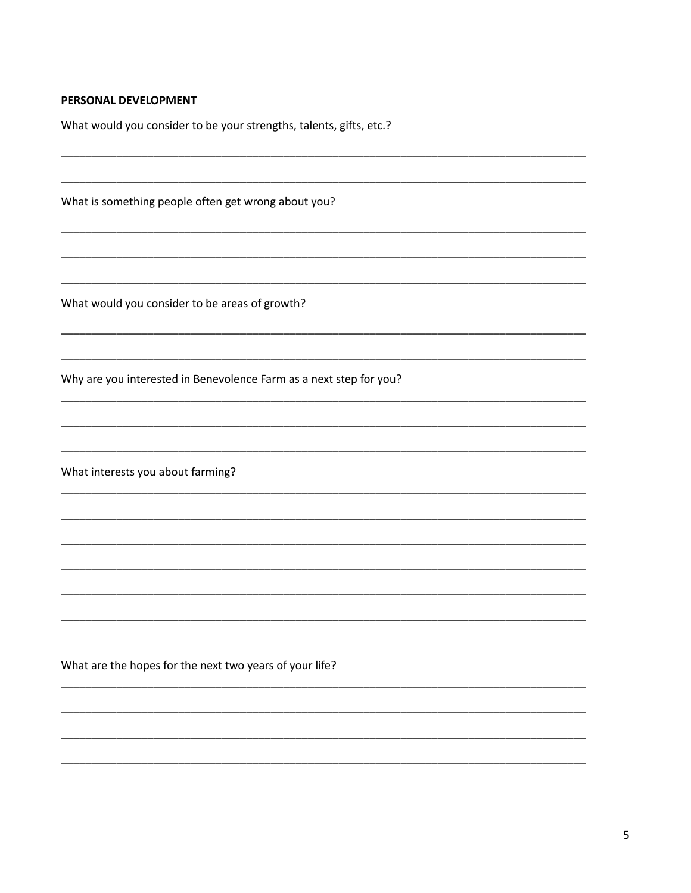## PERSONAL DEVELOPMENT

What would you consider to be your strengths, talents, gifts, etc.?

What is something people often get wrong about you?

What would you consider to be areas of growth?

Why are you interested in Benevolence Farm as a next step for you?

What interests you about farming?

What are the hopes for the next two years of your life?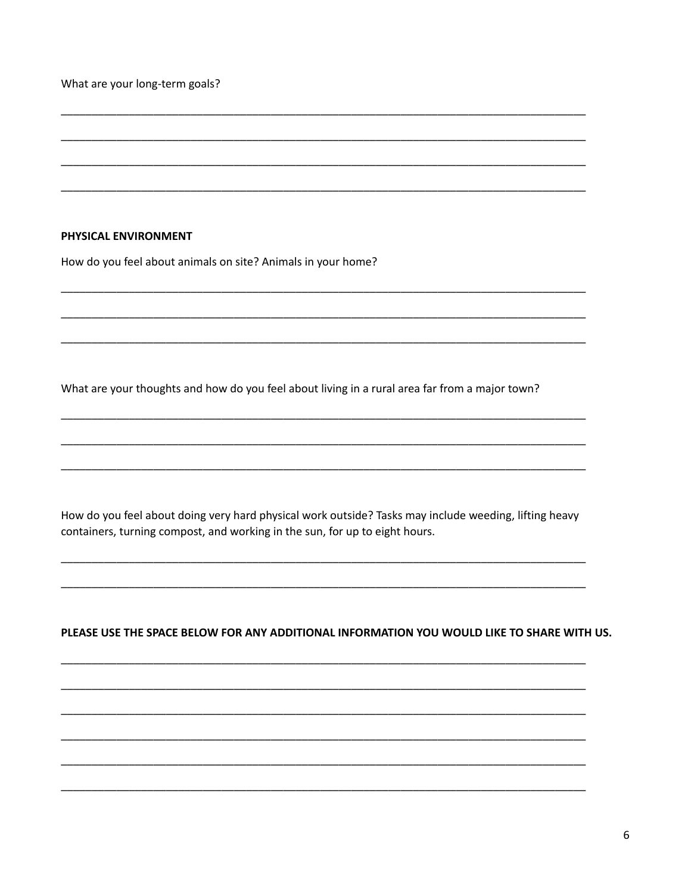What are your long-term goals?

## PHYSICAL ENVIRONMENT

How do you feel about animals on site? Animals in your home?

What are your thoughts and how do you feel about living in a rural area far from a major town?

How do you feel about doing very hard physical work outside? Tasks may include weeding, lifting heavy containers, turning compost, and working in the sun, for up to eight hours.

PLEASE USE THE SPACE BELOW FOR ANY ADDITIONAL INFORMATION YOU WOULD LIKE TO SHARE WITH US.